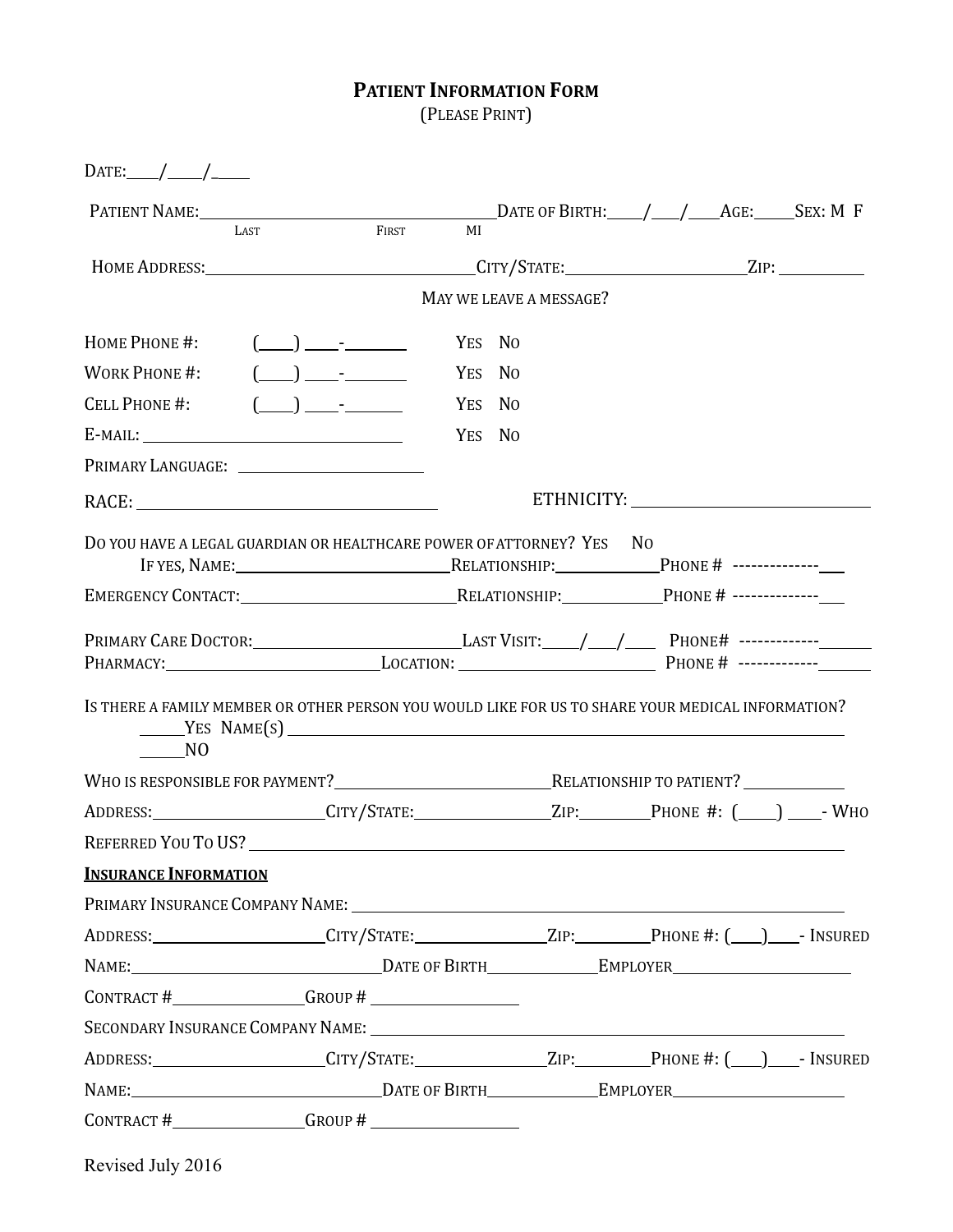## **PATIENT INFORMATION FORM**

(PLEASE PRINT) 

| DATE: $\angle$                                                       |                                                                                                                                                                                                                                                                                                                                                                                                                                                                                                                          |        |                         |                                                                                                      |
|----------------------------------------------------------------------|--------------------------------------------------------------------------------------------------------------------------------------------------------------------------------------------------------------------------------------------------------------------------------------------------------------------------------------------------------------------------------------------------------------------------------------------------------------------------------------------------------------------------|--------|-------------------------|------------------------------------------------------------------------------------------------------|
|                                                                      | FIRST                                                                                                                                                                                                                                                                                                                                                                                                                                                                                                                    | MI     |                         |                                                                                                      |
|                                                                      |                                                                                                                                                                                                                                                                                                                                                                                                                                                                                                                          |        |                         | HOME ADDRESS: _________________________________CITY/STATE: ______________________ZIP: ______________ |
|                                                                      |                                                                                                                                                                                                                                                                                                                                                                                                                                                                                                                          |        | MAY WE LEAVE A MESSAGE? |                                                                                                      |
|                                                                      |                                                                                                                                                                                                                                                                                                                                                                                                                                                                                                                          |        |                         |                                                                                                      |
| HOME PHONE #:                                                        | $\left(\begin{array}{c}\right) \qquad \qquad \end{array}$                                                                                                                                                                                                                                                                                                                                                                                                                                                                | YES NO |                         |                                                                                                      |
| WORK PHONE #:                                                        | $\begin{pmatrix} \phantom{-} \\ \phantom{-} \end{pmatrix}$ $\begin{pmatrix} \phantom{-} \\ \phantom{-} \end{pmatrix}$ $\begin{pmatrix} \phantom{-} \\ \phantom{-} \end{pmatrix}$ $\begin{pmatrix} \phantom{-} \\ \phantom{-} \end{pmatrix}$ $\begin{pmatrix} \phantom{-} \\ \phantom{-} \end{pmatrix}$ $\begin{pmatrix} \phantom{-} \\ \phantom{-} \end{pmatrix}$ $\begin{pmatrix} \phantom{-} \\ \phantom{-} \end{pmatrix}$ $\begin{pmatrix} \phantom{-} \\ \phantom{-} \end{pmatrix}$ $\begin{pmatrix} \phantom{-} \\$ |        |                         |                                                                                                      |
| CELL PHONE #:                                                        | $(\_\_\_\_\_\$ .                                                                                                                                                                                                                                                                                                                                                                                                                                                                                                         | YES NO |                         |                                                                                                      |
| $E$ -MAIL: $\_\_\_\_\_\_\_\_\$                                       |                                                                                                                                                                                                                                                                                                                                                                                                                                                                                                                          | YES NO |                         |                                                                                                      |
|                                                                      |                                                                                                                                                                                                                                                                                                                                                                                                                                                                                                                          |        |                         |                                                                                                      |
|                                                                      |                                                                                                                                                                                                                                                                                                                                                                                                                                                                                                                          |        |                         |                                                                                                      |
| DO YOU HAVE A LEGAL GUARDIAN OR HEALTHCARE POWER OF ATTORNEY? YES NO |                                                                                                                                                                                                                                                                                                                                                                                                                                                                                                                          |        |                         |                                                                                                      |
|                                                                      |                                                                                                                                                                                                                                                                                                                                                                                                                                                                                                                          |        |                         |                                                                                                      |
|                                                                      |                                                                                                                                                                                                                                                                                                                                                                                                                                                                                                                          |        |                         | PRIMARY CARE DOCTOR: LAST VISIT: /_/_/__ PHONE# ------------                                         |
|                                                                      |                                                                                                                                                                                                                                                                                                                                                                                                                                                                                                                          |        |                         |                                                                                                      |
| N <sub>O</sub>                                                       | $YES \text{ NAME}(S)$ $\qquad \qquad$                                                                                                                                                                                                                                                                                                                                                                                                                                                                                    |        |                         | IS THERE A FAMILY MEMBER OR OTHER PERSON YOU WOULD LIKE FOR US TO SHARE YOUR MEDICAL INFORMATION?    |
|                                                                      |                                                                                                                                                                                                                                                                                                                                                                                                                                                                                                                          |        |                         |                                                                                                      |
|                                                                      |                                                                                                                                                                                                                                                                                                                                                                                                                                                                                                                          |        |                         |                                                                                                      |
|                                                                      |                                                                                                                                                                                                                                                                                                                                                                                                                                                                                                                          |        |                         |                                                                                                      |
| <b>INSURANCE INFORMATION</b>                                         |                                                                                                                                                                                                                                                                                                                                                                                                                                                                                                                          |        |                         |                                                                                                      |
| PRIMARY INSURANCE COMPANY NAME: University of the COMPANY NAME:      |                                                                                                                                                                                                                                                                                                                                                                                                                                                                                                                          |        |                         |                                                                                                      |
|                                                                      |                                                                                                                                                                                                                                                                                                                                                                                                                                                                                                                          |        |                         |                                                                                                      |
|                                                                      |                                                                                                                                                                                                                                                                                                                                                                                                                                                                                                                          |        |                         | NAME: DATE OF BIRTH EMPLOYER                                                                         |
| $CONTRACT # _______ GROUP # _______ GROUP$                           |                                                                                                                                                                                                                                                                                                                                                                                                                                                                                                                          |        |                         |                                                                                                      |
|                                                                      |                                                                                                                                                                                                                                                                                                                                                                                                                                                                                                                          |        |                         | SECONDARY INSURANCE COMPANY NAME: University of the COMPANY NAME:                                    |
|                                                                      |                                                                                                                                                                                                                                                                                                                                                                                                                                                                                                                          |        |                         |                                                                                                      |
|                                                                      |                                                                                                                                                                                                                                                                                                                                                                                                                                                                                                                          |        |                         |                                                                                                      |
|                                                                      |                                                                                                                                                                                                                                                                                                                                                                                                                                                                                                                          |        |                         |                                                                                                      |

Revised July 2016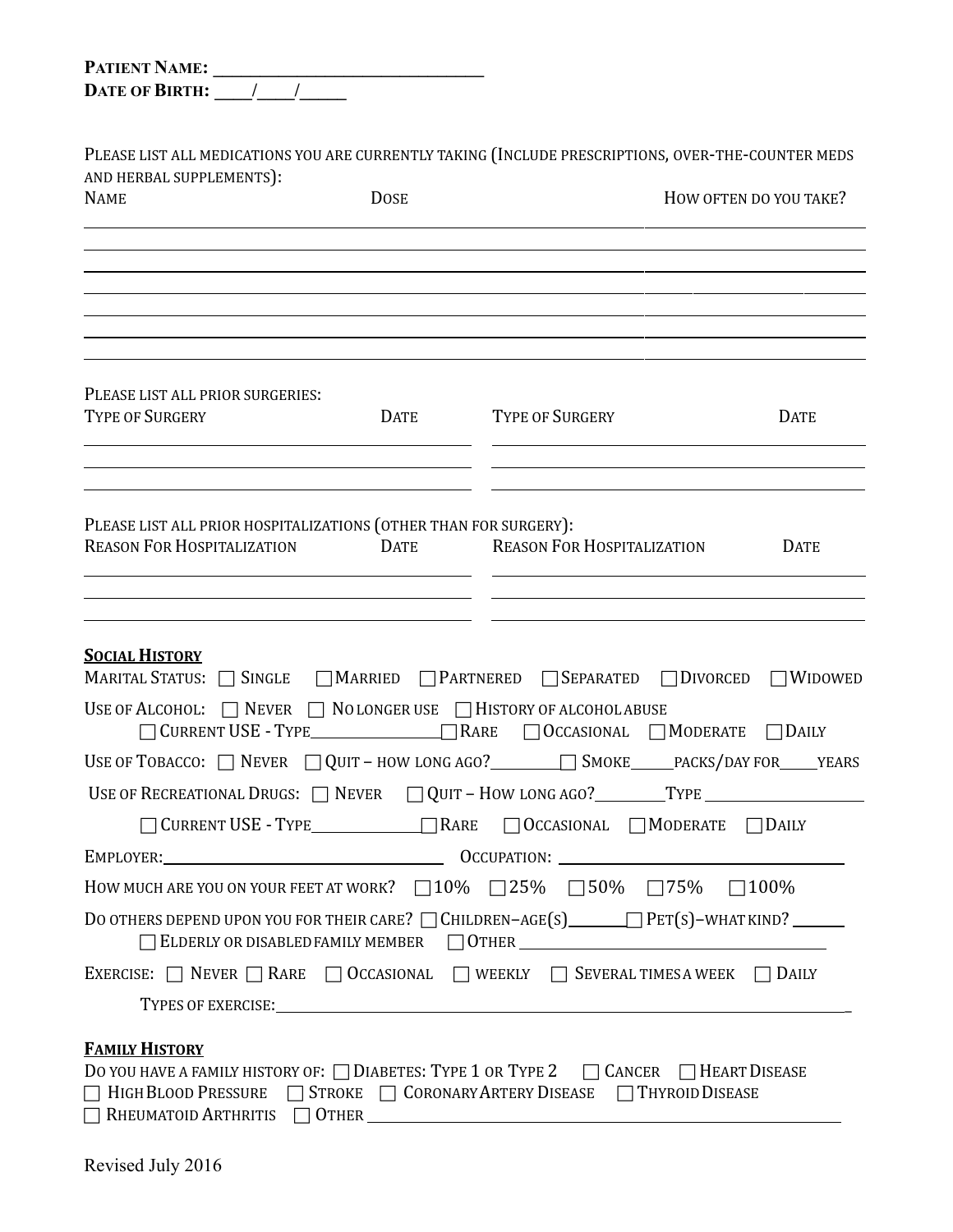| <b>PATIENT NAME:</b>  |  |
|-----------------------|--|
| <b>DATE OF BIRTH:</b> |  |

PLEASE LIST ALL MEDICATIONS YOU ARE CURRENTLY TAKING (INCLUDE PRESCRIPTIONS, OVER-THE-COUNTER MEDS AND HERBAL SUPPLEMENTS):

| AND HERBAL SUPPLEMENTSJ.<br><b>NAME</b>                                                                                                                                                                                       | <b>DOSE</b>                                                         |                                                                                                                                                                                          | HOW OFTEN DO YOU TAKE? |
|-------------------------------------------------------------------------------------------------------------------------------------------------------------------------------------------------------------------------------|---------------------------------------------------------------------|------------------------------------------------------------------------------------------------------------------------------------------------------------------------------------------|------------------------|
|                                                                                                                                                                                                                               |                                                                     |                                                                                                                                                                                          |                        |
| PLEASE LIST ALL PRIOR SURGERIES:<br><b>TYPE OF SURGERY</b>                                                                                                                                                                    |                                                                     | DATE TYPE OF SURGERY                                                                                                                                                                     | <b>DATE</b>            |
| PLEASE LIST ALL PRIOR HOSPITALIZATIONS (OTHER THAN FOR SURGERY):<br><b>REASON FOR HOSPITALIZATION</b><br><u> 1989 - Johann John Stone, markin film yn y brening yn y brening yn y brening y brening yn y brening y brenin</u> | <b>DATE</b><br><u> 1986 - Johann Stein, Amerikaansk politiker (</u> | <b>REASON FOR HOSPITALIZATION</b>                                                                                                                                                        | <b>DATE</b>            |
| <b>SOCIAL HISTORY</b><br>USE OF ALCOHOL: $\Box$ Never $\Box$ No longer use $\Box$ History of alcohol abuse                                                                                                                    |                                                                     | MARITAL STATUS: <b>SINGLE</b> MARRIED PARTNERED SEPARATED <b>DIVORCED</b> WIDOWED<br>□ CURRENT USE - TYPE<br>□ RARE □ OCCASIONAL □ MODERATE □ DAILY                                      |                        |
|                                                                                                                                                                                                                               |                                                                     | USE OF TOBACCO: □ NEVER □ QUIT - HOW LONG AGO? _______ SMOKE_____PACKS/DAY FOR_____YEARS                                                                                                 |                        |
|                                                                                                                                                                                                                               |                                                                     | USE OF RECREATIONAL DRUGS: $\Box$ NEVER $\Box$ QUIT - HOW LONG AGO? _______TYPE ________________________                                                                                 |                        |
|                                                                                                                                                                                                                               |                                                                     | □ CURRENT USE - TYPE_____________□ RARE □ OCCASIONAL □ MODERATE □ DAILY                                                                                                                  |                        |
|                                                                                                                                                                                                                               |                                                                     |                                                                                                                                                                                          |                        |
|                                                                                                                                                                                                                               |                                                                     | HOW MUCH ARE YOU ON YOUR FEET AT WORK? $\Box$ 10% $\Box$ 25% $\Box$ 50% $\Box$ 75% $\Box$ 100%                                                                                           |                        |
|                                                                                                                                                                                                                               |                                                                     | ELDERLY OR DISABLED FAMILY MEMBER 0 OTHER                                                                                                                                                |                        |
|                                                                                                                                                                                                                               |                                                                     | EXERCISE: $\Box$ NEVER $\Box$ RARE $\Box$ OCCASIONAL $\Box$ WEEKLY $\Box$ SEVERAL TIMES A WEEK $\Box$ DAILY                                                                              |                        |
| TYPES OF EXERCISE: THE CONTROL OF EXERCISE:                                                                                                                                                                                   |                                                                     |                                                                                                                                                                                          |                        |
| <b>FAMILY HISTORY</b><br>RHEUMATOID ARTHRITIS   OTHER                                                                                                                                                                         |                                                                     | DO YOU HAVE A FAMILY HISTORY OF: □ DIABETES: TYPE 1 OR TYPE 2 □ CANCER □ HEART DISEASE<br>$\Box$ High Blood Pressure $\Box$ Stroke $\Box$ Coronary Artery Disease $\Box$ Thyroid Disease |                        |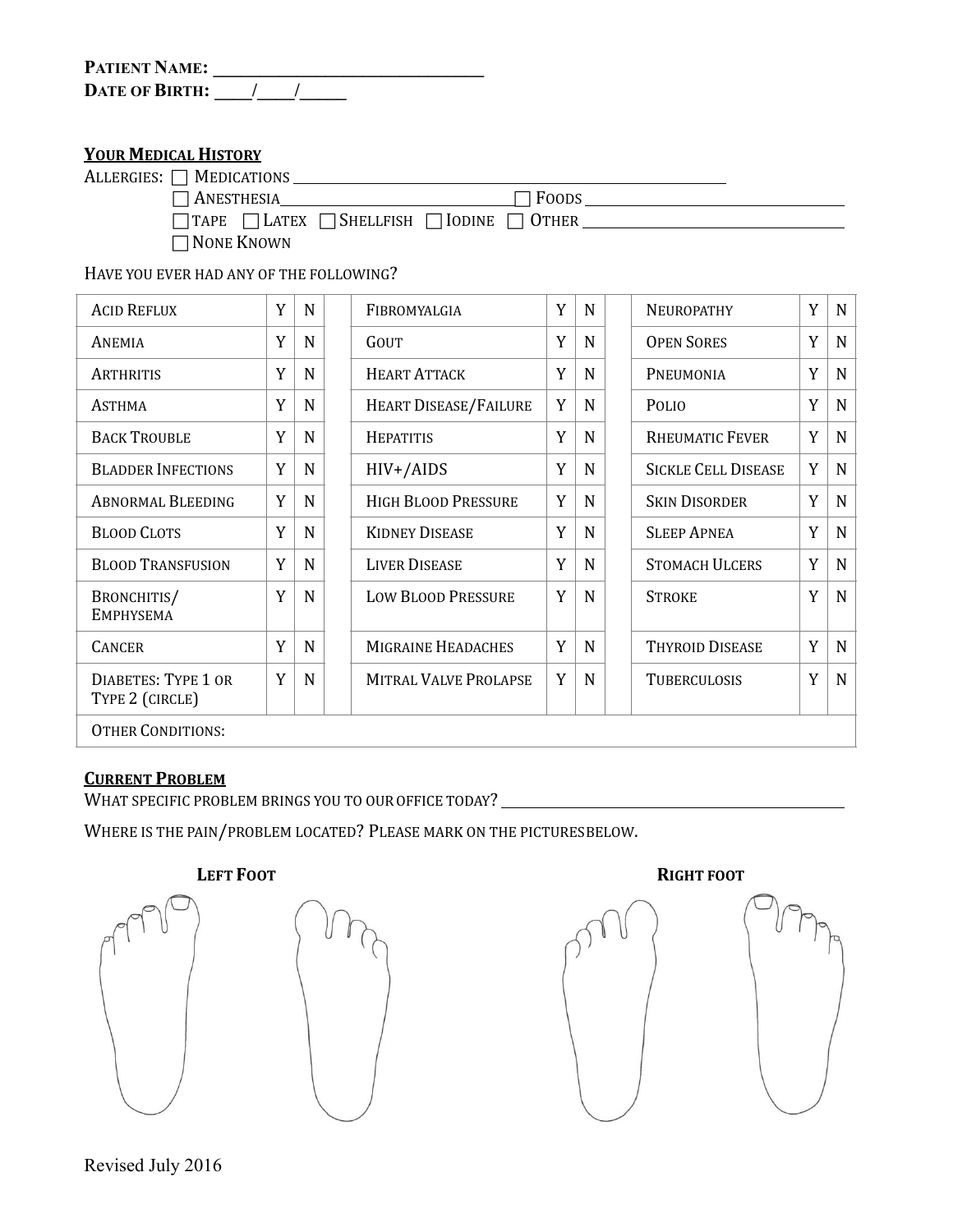| <b>PATIENT NAME:</b>  |  |  |
|-----------------------|--|--|
| <b>DATE OF BIRTH:</b> |  |  |

## **YOUR MEDICAL HISTORY**

| ALLERGIES: $\Box$ Medications                                        |              |  |
|----------------------------------------------------------------------|--------------|--|
| $\sqcap$ Anesthesia                                                  | $\Box$ Foods |  |
| $\Box$ TAPE $\Box$ LATEX $\Box$ SHELLFISH $\Box$ IODINE $\Box$ OTHER |              |  |
| $\Box$ None Known                                                    |              |  |

HAVE YOU EVER HAD ANY OF THE FOLLOWING?

| <b>ACID REFLUX</b>                            | Y | N           | FIBROMYALGIA                 | Y | N | NEUROPATHY                 | Y | N           |
|-----------------------------------------------|---|-------------|------------------------------|---|---|----------------------------|---|-------------|
| ANEMIA                                        | Y | $\mathbf N$ | GOUT                         | Y | N | <b>OPEN SORES</b>          | Y | $N_{\odot}$ |
| <b>ARTHRITIS</b>                              | Y | $\mathbf N$ | <b>HEART ATTACK</b>          | Y | N | PNEUMONIA                  | Y | N           |
| <b>ASTHMA</b>                                 | Y | N           | HEART DISEASE/FAILURE        | Y | N | <b>POLIO</b>               | Y | $N_{\rm}$   |
| <b>BACK TROUBLE</b>                           | Y | N           | <b>HEPATITIS</b>             | Y | N | <b>RHEUMATIC FEVER</b>     | Y | N           |
| <b>BLADDER INFECTIONS</b>                     | Y | N           | $HIV+ / AIDS$                | Y | N | <b>SICKLE CELL DISEASE</b> | Y | N           |
| <b>ABNORMAL BLEEDING</b>                      | Y | N           | <b>HIGH BLOOD PRESSURE</b>   | Y | N | <b>SKIN DISORDER</b>       | Y | N           |
| <b>BLOOD CLOTS</b>                            | Y | N           | <b>KIDNEY DISEASE</b>        | Y | N | <b>SLEEP APNEA</b>         | Y | $N_{\odot}$ |
| <b>BLOOD TRANSFUSION</b>                      | Y | N           | <b>LIVER DISEASE</b>         | Y | N | <b>STOMACH ULCERS</b>      | Y | $N_{\odot}$ |
| BRONCHITIS/<br><b>EMPHYSEMA</b>               | Y | $\mathbf N$ | <b>LOW BLOOD PRESSURE</b>    | Y | N | <b>STROKE</b>              | Y | N           |
| <b>CANCER</b>                                 | Y | $\mathbf N$ | <b>MIGRAINE HEADACHES</b>    | Y | N | <b>THYROID DISEASE</b>     | Y | N           |
| <b>DIABETES: TYPE 1 OR</b><br>TYPE 2 (CIRCLE) | Y | N           | <b>MITRAL VALVE PROLAPSE</b> | Y | N | <b>TUBERCULOSIS</b>        | Y | $N_{\odot}$ |
| <b>OTHER CONDITIONS:</b>                      |   |             |                              |   |   |                            |   |             |

## **CURRENT PROBLEM**

WHAT SPECIFIC PROBLEM BRINGS YOU TO OUR OFFICE TODAY? \_\_\_\_\_\_\_\_\_\_\_\_\_\_\_\_\_\_\_\_\_\_\_\_\_\_\_

WHERE IS THE PAIN/PROBLEM LOCATED? PLEASE MARK ON THE PICTURESBELOW.



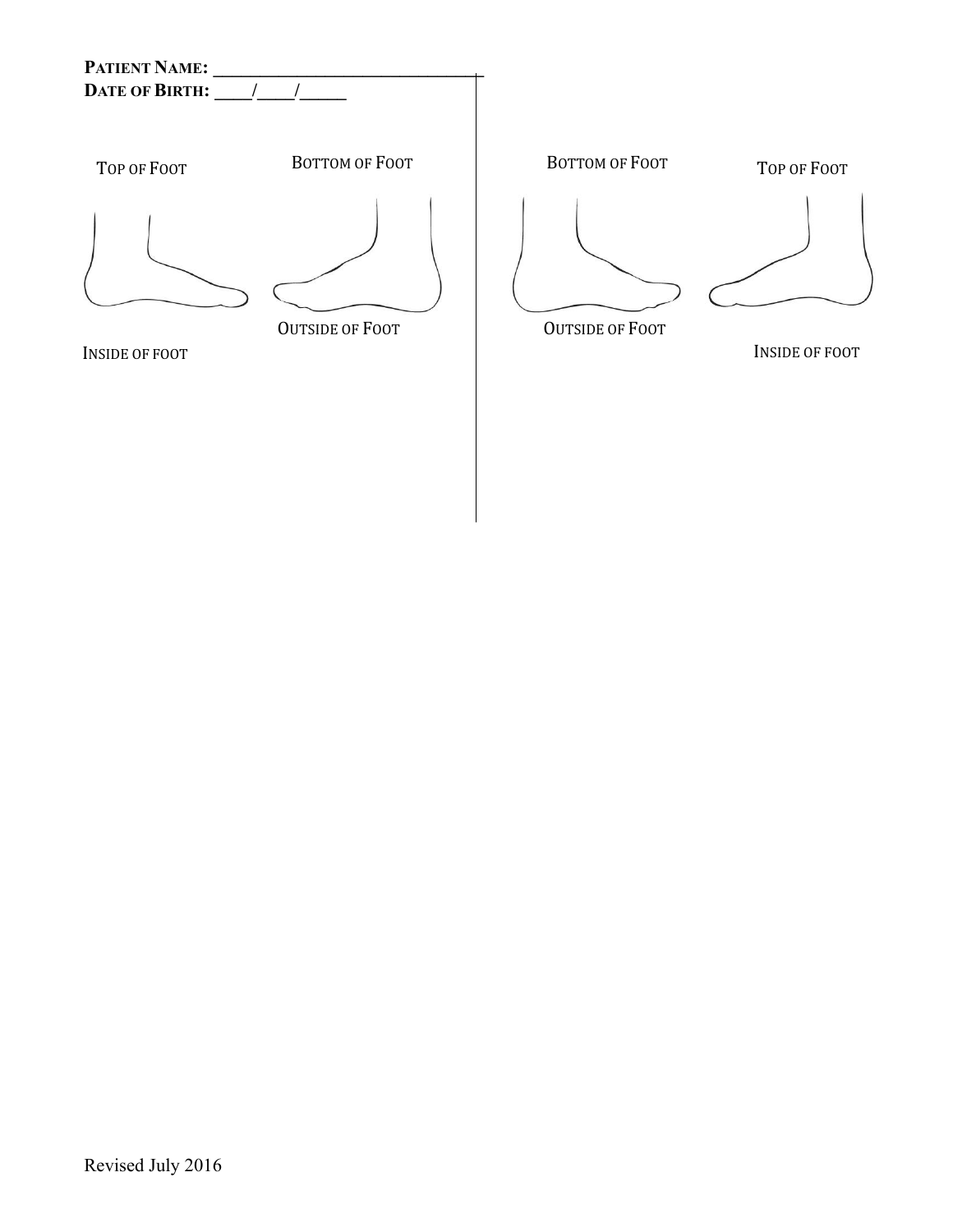



INSIDE OF FOOT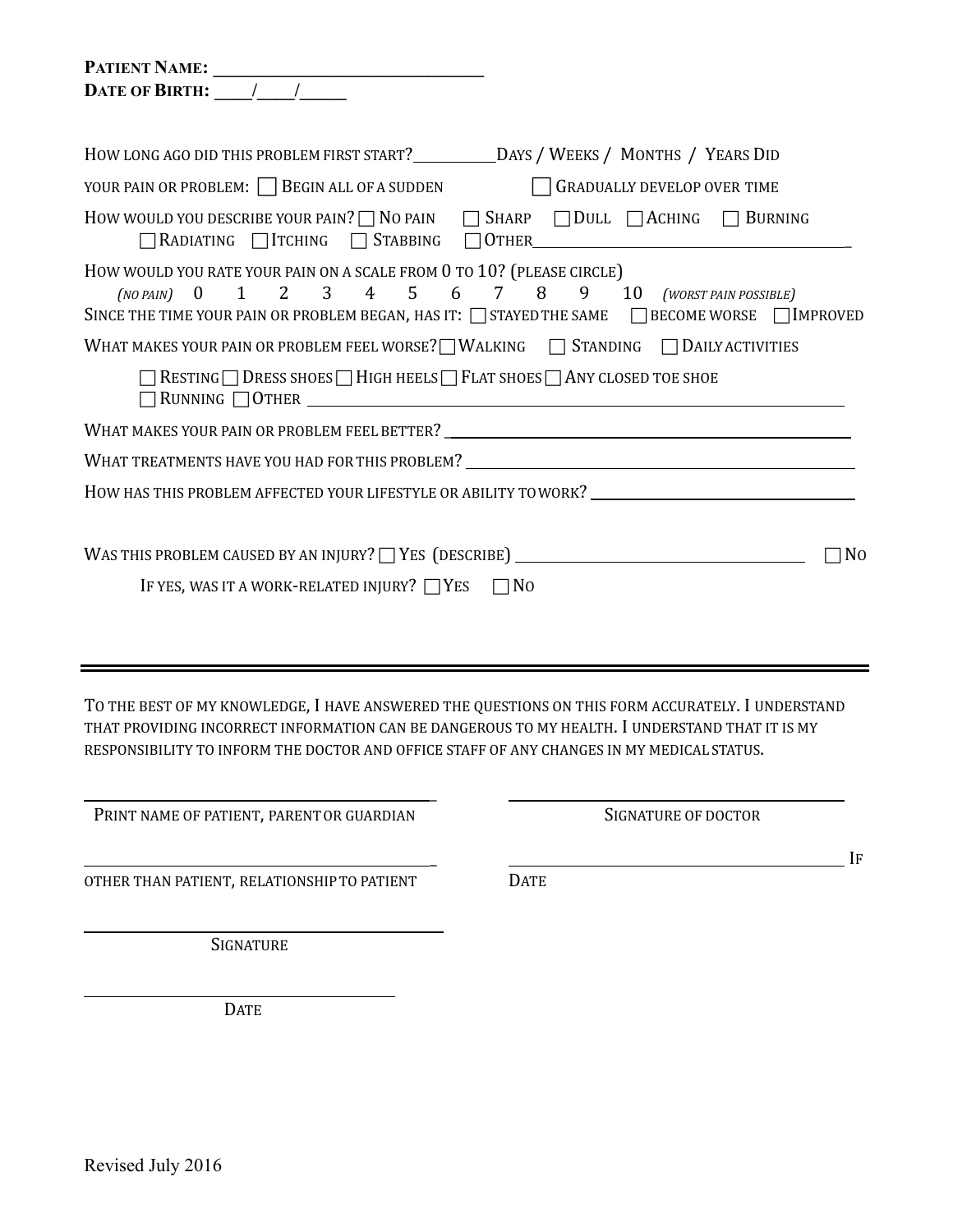| PATIENT NAME:                                                                                                                                                                                                                                    |
|--------------------------------------------------------------------------------------------------------------------------------------------------------------------------------------------------------------------------------------------------|
|                                                                                                                                                                                                                                                  |
|                                                                                                                                                                                                                                                  |
|                                                                                                                                                                                                                                                  |
| HOW LONG AGO DID THIS PROBLEM FIRST START?____________DAYS / WEEKS / MONTHS / YEARS DID                                                                                                                                                          |
| YOUR PAIN OR PROBLEM: BEGIN ALL OF A SUDDEN GRADUALLY DEVELOP OVER TIME                                                                                                                                                                          |
| How would you describe your pain? $\Box$ No pain $\Box$ Sharp $\Box$ Dull $\Box$ Aching $\Box$ Burning<br>□RADIATING ITCHING STABBING OTHER                                                                                                      |
| HOW WOULD YOU RATE YOUR PAIN ON A SCALE FROM 0 TO 10? (PLEASE CIRCLE)<br>(NO PAIN) 0 1 2 3 4 5 6 7 8 9 10 (WORST PAIN POSSIBLE)<br>SINCE THE TIME YOUR PAIN OR PROBLEM BEGAN, HAS IT: $\Box$ STAYED THE SAME $\Box$ BECOME WORSE $\Box$ IMPROVED |
| WHAT MAKES YOUR PAIN OR PROBLEM FEEL WORSE? WALKING TSTANDING TDAILY ACTIVITIES                                                                                                                                                                  |
| $\Box$ RESTING $\Box$ DRESS SHOES $\Box$ HIGH HEELS $\Box$ FLAT SHOES $\Box$ ANY CLOSED TOE SHOE                                                                                                                                                 |
|                                                                                                                                                                                                                                                  |
| WHAT TREATMENTS HAVE YOU HAD FOR THIS PROBLEM? <b>FOR THE PROBLEM CONTROL</b>                                                                                                                                                                    |
| HOW HAS THIS PROBLEM AFFECTED YOUR LIFESTYLE OR ABILITY TOWORK? ___________________________________                                                                                                                                              |
|                                                                                                                                                                                                                                                  |
| WAS THIS PROBLEM CAUSED BY AN INJURY? $\Box$ YES (DESCRIBE) $\Box$<br>N <sub>0</sub>                                                                                                                                                             |
| IF YES, WAS IT A WORK-RELATED INJURY? $\Box$ YES $\Box$ NO                                                                                                                                                                                       |
|                                                                                                                                                                                                                                                  |

TO THE BEST OF MY KNOWLEDGE, I HAVE ANSWERED THE QUESTIONS ON THIS FORM ACCURATELY. I UNDERSTAND THAT PROVIDING INCORRECT INFORMATION CAN BE DANGEROUS TO MY HEALTH. I UNDERSTAND THAT IT IS MY RESPONSIBILITY TO INFORM THE DOCTOR AND OFFICE STAFF OF ANY CHANGES IN MY MEDICAL STATUS.

| PRINT NAME OF PATIENT, PARENT OR GUARDIAN   | SIGNATURE OF DOCTOR |    |
|---------------------------------------------|---------------------|----|
| OTHER THAN PATIENT, RELATIONSHIP TO PATIENT | <b>DATE</b>         | ĪЕ |
| SIGNATURE                                   |                     |    |

DATE